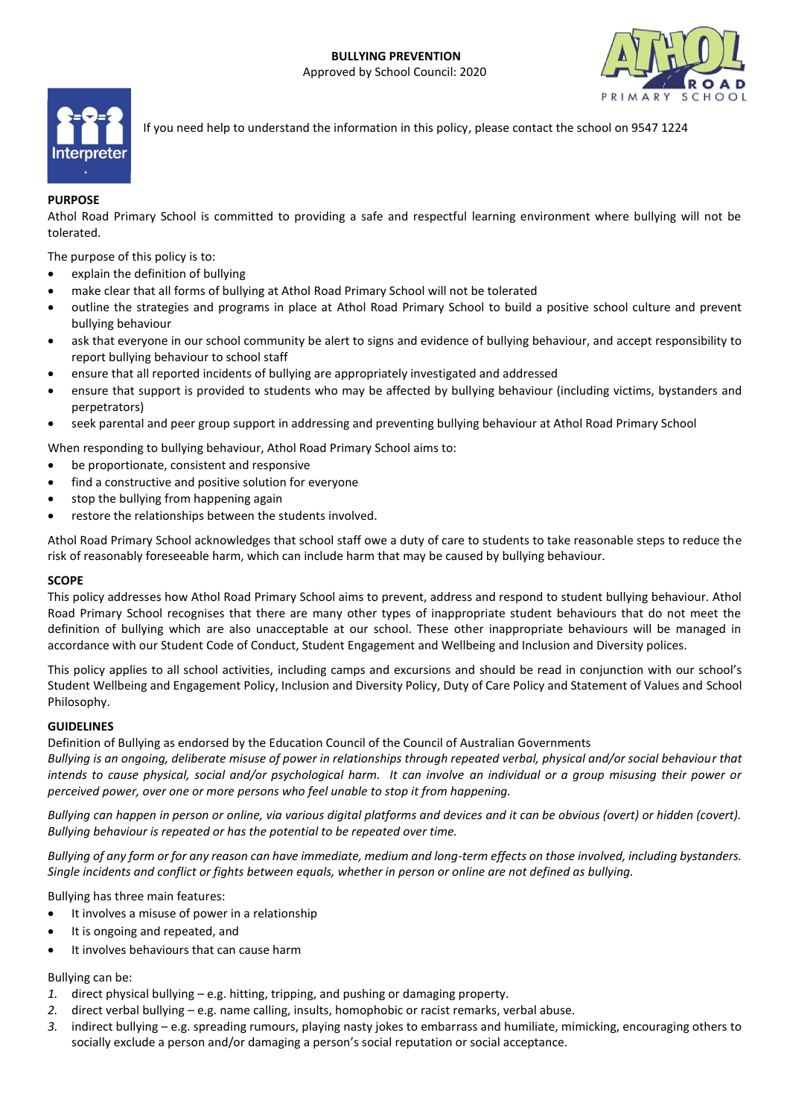

If you need help to understand the information in this policy, please contact the school on 9547 1224

O<sub>A</sub>

SCHOOL

PRIMARY

# **PURPOSE**

Athol Road Primary School is committed to providing a safe and respectful learning environment where bullying will not be tolerated.

The purpose of this policy is to:

- explain the definition of bullying
- make clear that all forms of bullying at Athol Road Primary School will not be tolerated
- outline the strategies and programs in place at Athol Road Primary School to build a positive school culture and prevent bullying behaviour
- ask that everyone in our school community be alert to signs and evidence of bullying behaviour, and accept responsibility to report bullying behaviour to school staff
- ensure that all reported incidents of bullying are appropriately investigated and addressed
- ensure that support is provided to students who may be affected by bullying behaviour (including victims, bystanders and perpetrators)
- seek parental and peer group support in addressing and preventing bullying behaviour at Athol Road Primary School

When responding to bullying behaviour, Athol Road Primary School aims to:

- be proportionate, consistent and responsive
- find a constructive and positive solution for everyone
- stop the bullying from happening again
- restore the relationships between the students involved.

Athol Road Primary School acknowledges that school staff owe a duty of care to students to take reasonable steps to reduce the risk of reasonably foreseeable harm, which can include harm that may be caused by bullying behaviour.

## **SCOPE**

This policy addresses how Athol Road Primary School aims to prevent, address and respond to student bullying behaviour. Athol Road Primary School recognises that there are many other types of inappropriate student behaviours that do not meet the definition of bullying which are also unacceptable at our school. These other inappropriate behaviours will be managed in accordance with our Student Code of Conduct, Student Engagement and Wellbeing and Inclusion and Diversity polices.

This policy applies to all school activities, including camps and excursions and should be read in conjunction with our school's Student Wellbeing and Engagement Policy, Inclusion and Diversity Policy, Duty of Care Policy and Statement of Values and School Philosophy.

## **GUIDELINES**

Definition of Bullying as endorsed by the Education Council of the Council of Australian Governments *Bullying is an ongoing, deliberate misuse of power in relationships through repeated verbal, physical and/or social behaviour that intends to cause physical, social and/or psychological harm. It can involve an individual or a group misusing their power or perceived power, over one or more persons who feel unable to stop it from happening.* 

*Bullying can happen in person or online, via various digital platforms and devices and it can be obvious (overt) or hidden (covert). Bullying behaviour is repeated or has the potential to be repeated over time.*

*Bullying of any form or for any reason can have immediate, medium and long-term effects on those involved, including bystanders. Single incidents and conflict or fights between equals, whether in person or online are not defined as bullying.*

Bullying has three main features:

- It involves a misuse of power in a relationship
- It is ongoing and repeated, and
- It involves behaviours that can cause harm

## Bullying can be:

- *1.* direct physical bullying e.g. hitting, tripping, and pushing or damaging property.
- *2.* direct verbal bullying e.g. name calling, insults, homophobic or racist remarks, verbal abuse.
- *3.* indirect bullying e.g. spreading rumours, playing nasty jokes to embarrass and humiliate, mimicking, encouraging others to socially exclude a person and/or damaging a person's social reputation or social acceptance.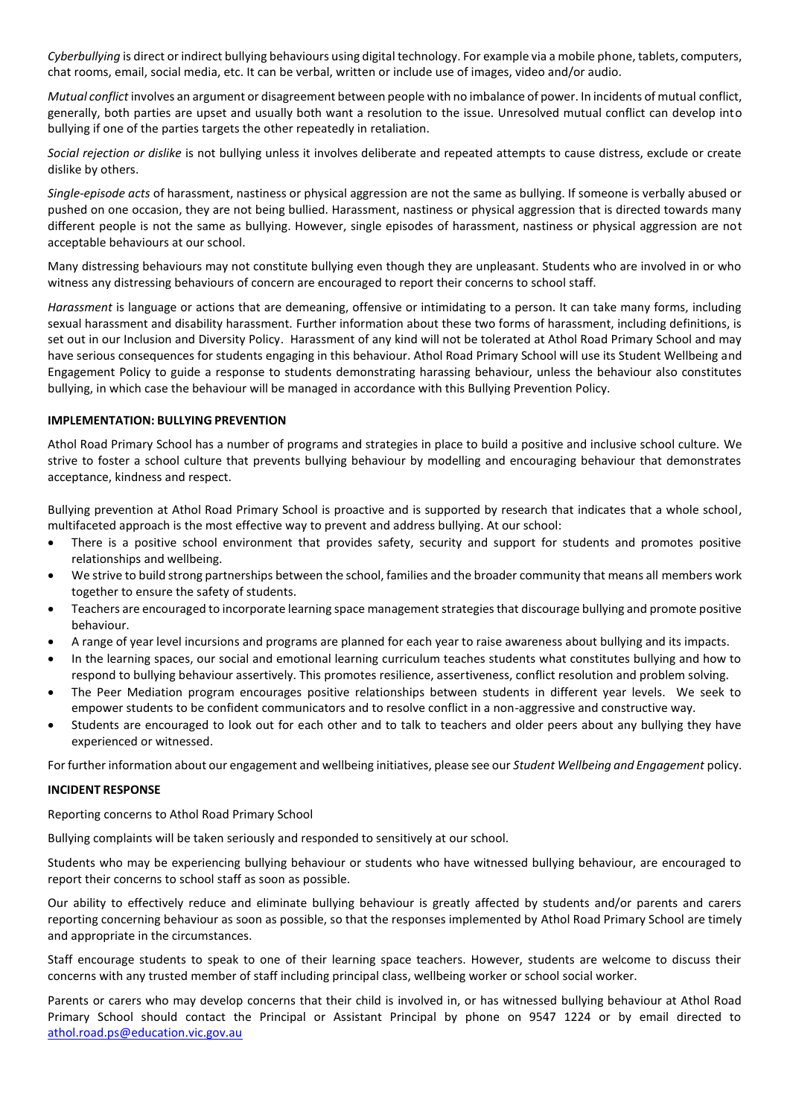*Cyberbullying* is direct or indirect bullying behaviours using digital technology. For example via a mobile phone, tablets, computers, chat rooms, email, social media, etc. It can be verbal, written or include use of images, video and/or audio.

*Mutual conflict* involves an argument or disagreement between people with no imbalance of power. In incidents of mutual conflict, generally, both parties are upset and usually both want a resolution to the issue. Unresolved mutual conflict can develop into bullying if one of the parties targets the other repeatedly in retaliation.

*Social rejection or dislike* is not bullying unless it involves deliberate and repeated attempts to cause distress, exclude or create dislike by others.

*Single-episode acts* of harassment, nastiness or physical aggression are not the same as bullying. If someone is verbally abused or pushed on one occasion, they are not being bullied. Harassment, nastiness or physical aggression that is directed towards many different people is not the same as bullying. However, single episodes of harassment, nastiness or physical aggression are not acceptable behaviours at our school.

Many distressing behaviours may not constitute bullying even though they are unpleasant. Students who are involved in or who witness any distressing behaviours of concern are encouraged to report their concerns to school staff.

*Harassment* is language or actions that are demeaning, offensive or intimidating to a person. It can take many forms, including sexual harassment and disability harassment. Further information about these two forms of harassment, including definitions, is set out in our Inclusion and Diversity Policy. Harassment of any kind will not be tolerated at Athol Road Primary School and may have serious consequences for students engaging in this behaviour. Athol Road Primary School will use its Student Wellbeing and Engagement Policy to guide a response to students demonstrating harassing behaviour, unless the behaviour also constitutes bullying, in which case the behaviour will be managed in accordance with this Bullying Prevention Policy.

## **IMPLEMENTATION: BULLYING PREVENTION**

Athol Road Primary School has a number of programs and strategies in place to build a positive and inclusive school culture. We strive to foster a school culture that prevents bullying behaviour by modelling and encouraging behaviour that demonstrates acceptance, kindness and respect.

Bullying prevention at Athol Road Primary School is proactive and is supported by research that indicates that a whole school, multifaceted approach is the most effective way to prevent and address bullying. At our school:

- There is a positive school environment that provides safety, security and support for students and promotes positive relationships and wellbeing.
- We strive to build strong partnerships between the school, families and the broader community that means all members work together to ensure the safety of students.
- Teachers are encouraged to incorporate learning space management strategies that discourage bullying and promote positive behaviour.
- A range of year level incursions and programs are planned for each year to raise awareness about bullying and its impacts.
- In the learning spaces, our social and emotional learning curriculum teaches students what constitutes bullying and how to respond to bullying behaviour assertively. This promotes resilience, assertiveness, conflict resolution and problem solving.
- The Peer Mediation program encourages positive relationships between students in different year levels. We seek to empower students to be confident communicators and to resolve conflict in a non-aggressive and constructive way.
- Students are encouraged to look out for each other and to talk to teachers and older peers about any bullying they have experienced or witnessed.

For further information about our engagement and wellbeing initiatives, please see our *Student Wellbeing and Engagement* policy.

#### **INCIDENT RESPONSE**

Reporting concerns to Athol Road Primary School

Bullying complaints will be taken seriously and responded to sensitively at our school.

Students who may be experiencing bullying behaviour or students who have witnessed bullying behaviour, are encouraged to report their concerns to school staff as soon as possible.

Our ability to effectively reduce and eliminate bullying behaviour is greatly affected by students and/or parents and carers reporting concerning behaviour as soon as possible, so that the responses implemented by Athol Road Primary School are timely and appropriate in the circumstances.

Staff encourage students to speak to one of their learning space teachers. However, students are welcome to discuss their concerns with any trusted member of staff including principal class, wellbeing worker or school social worker.

Parents or carers who may develop concerns that their child is involved in, or has witnessed bullying behaviour at Athol Road Primary School should contact the Principal or Assistant Principal by phone on 9547 1224 or by email directed to [athol.road.ps@education.vic.gov.au](mailto:athol.road.ps@education.vic.gov.au)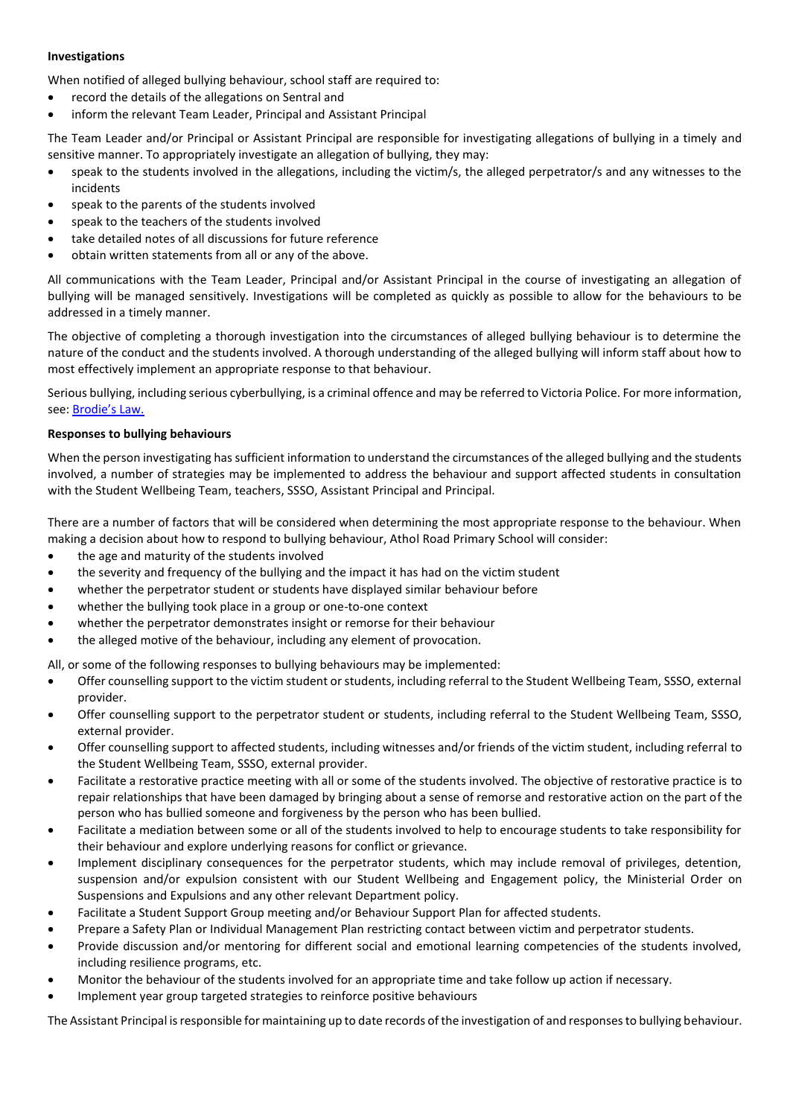# **Investigations**

When notified of alleged bullying behaviour, school staff are required to:

- record the details of the allegations on Sentral and
- inform the relevant Team Leader, Principal and Assistant Principal

The Team Leader and/or Principal or Assistant Principal are responsible for investigating allegations of bullying in a timely and sensitive manner. To appropriately investigate an allegation of bullying, they may:

- speak to the students involved in the allegations, including the victim/s, the alleged perpetrator/s and any witnesses to the incidents
- speak to the parents of the students involved
- speak to the teachers of the students involved
- take detailed notes of all discussions for future reference
- obtain written statements from all or any of the above.

All communications with the Team Leader, Principal and/or Assistant Principal in the course of investigating an allegation of bullying will be managed sensitively. Investigations will be completed as quickly as possible to allow for the behaviours to be addressed in a timely manner.

The objective of completing a thorough investigation into the circumstances of alleged bullying behaviour is to determine the nature of the conduct and the students involved. A thorough understanding of the alleged bullying will inform staff about how to most effectively implement an appropriate response to that behaviour.

Serious bullying, including serious cyberbullying, is a criminal offence and may be referred to Victoria Police. For more information, see: [Brodie's Law.](http://www.education.vic.gov.au/about/programs/bullystoppers/Pages/advicesheetbrodieslaw.aspx)

## **Responses to bullying behaviours**

When the person investigating has sufficient information to understand the circumstances of the alleged bullying and the students involved, a number of strategies may be implemented to address the behaviour and support affected students in consultation with the Student Wellbeing Team, teachers, SSSO, Assistant Principal and Principal.

There are a number of factors that will be considered when determining the most appropriate response to the behaviour. When making a decision about how to respond to bullying behaviour, Athol Road Primary School will consider:

- the age and maturity of the students involved
- the severity and frequency of the bullying and the impact it has had on the victim student
- whether the perpetrator student or students have displayed similar behaviour before
- whether the bullying took place in a group or one-to-one context
- whether the perpetrator demonstrates insight or remorse for their behaviour
- the alleged motive of the behaviour, including any element of provocation.

All, or some of the following responses to bullying behaviours may be implemented:

- Offer counselling support to the victim student or students, including referral to the Student Wellbeing Team, SSSO, external provider.
- Offer counselling support to the perpetrator student or students, including referral to the Student Wellbeing Team, SSSO, external provider.
- Offer counselling support to affected students, including witnesses and/or friends of the victim student, including referral to the Student Wellbeing Team, SSSO, external provider.
- Facilitate a restorative practice meeting with all or some of the students involved. The objective of restorative practice is to repair relationships that have been damaged by bringing about a sense of remorse and restorative action on the part of the person who has bullied someone and forgiveness by the person who has been bullied.
- Facilitate a mediation between some or all of the students involved to help to encourage students to take responsibility for their behaviour and explore underlying reasons for conflict or grievance.
- Implement disciplinary consequences for the perpetrator students, which may include removal of privileges, detention, suspension and/or expulsion consistent with our Student Wellbeing and Engagement policy, the Ministerial Order on Suspensions and Expulsions and any other relevant Department policy.
- Facilitate a Student Support Group meeting and/or Behaviour Support Plan for affected students.
- Prepare a Safety Plan or Individual Management Plan restricting contact between victim and perpetrator students.
- Provide discussion and/or mentoring for different social and emotional learning competencies of the students involved, including resilience programs, etc.
- Monitor the behaviour of the students involved for an appropriate time and take follow up action if necessary.
- Implement year group targeted strategies to reinforce positive behaviours

The Assistant Principal is responsible for maintaining up to date records of the investigation of and responses to bullying behaviour.